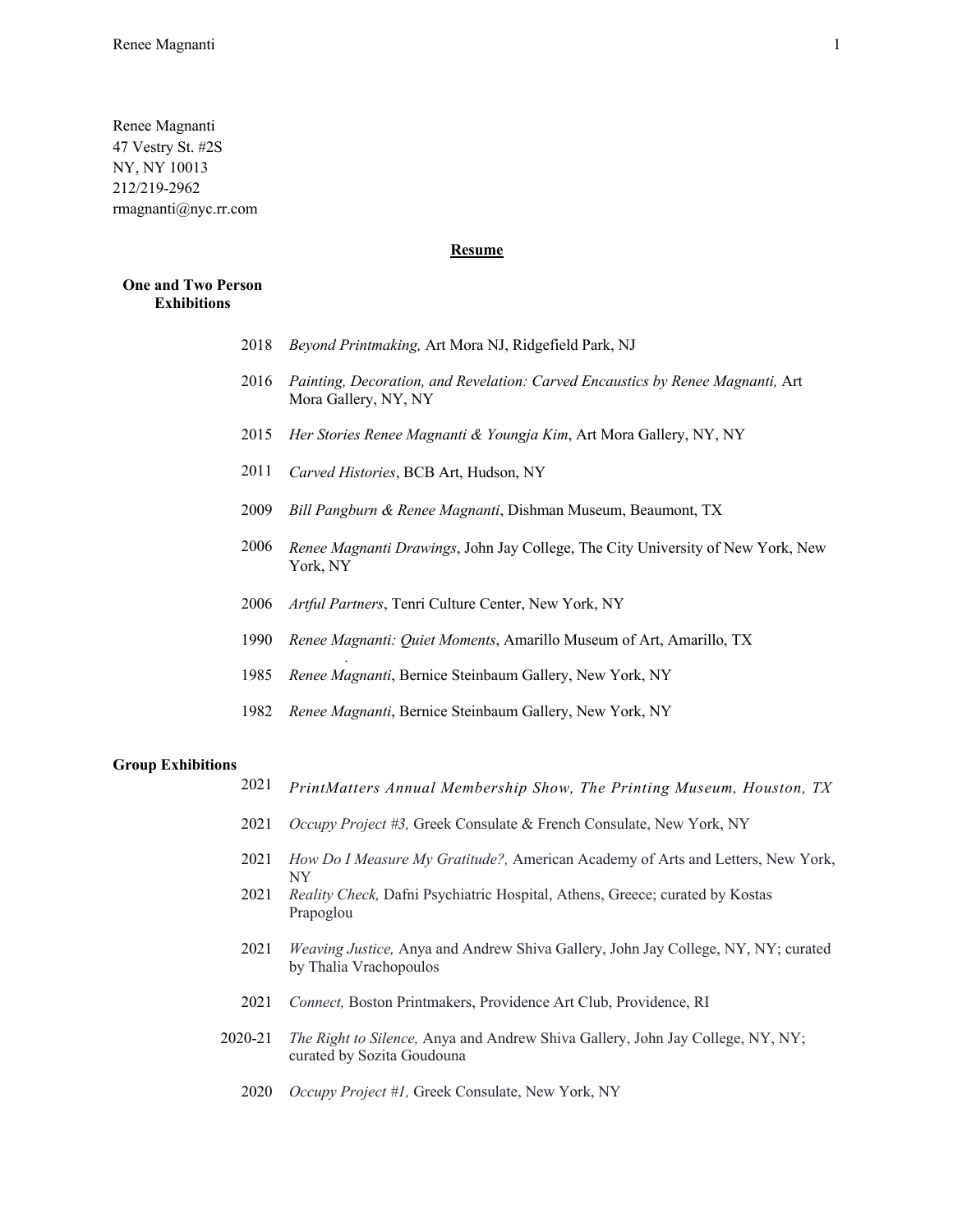Renee Magnanti 47 Vestry St. #2S NY, NY 10013 212/219-2962 rmagnanti@nyc.rr.com

## **Resume**

### **One and Two Person Exhibitions**

- 2018 *Beyond Printmaking,* Art Mora NJ, Ridgefield Park, NJ
- 2016 *Painting, Decoration, and Revelation: Carved Encaustics by Renee Magnanti,* Art Mora Gallery, NY, NY
- 2015 *Her Stories Renee Magnanti & Youngja Kim*, Art Mora Gallery, NY, NY
- 2011 *Carved Histories*, BCB Art, Hudson, NY

*.*

- 2009 *Bill Pangburn & Renee Magnanti*, Dishman Museum, Beaumont, TX
- 2006 *Renee Magnanti Drawings*, John Jay College, The City University of New York, New York, NY
- 2006 *Artful Partners*, Tenri Culture Center, New York, NY
- 1990 *Renee Magnanti: Quiet Moments*, Amarillo Museum of Art, Amarillo, TX
- 1985 *Renee Magnanti*, Bernice Steinbaum Gallery, New York, NY
- 1982 *Renee Magnanti*, Bernice Steinbaum Gallery, New York, NY

#### **Group Exhibitions**

- 2021 *PrintMatters Annual Membership Show, The Printing Museum, Houston, TX*
- 2021 *Occupy Project #3,* Greek Consulate & French Consulate, New York, NY
- 2021 *How Do I Measure My Gratitude?,* American Academy of Arts and Letters, New York, NY
- 2021 *Reality Check,* Dafni Psychiatric Hospital, Athens, Greece; curated by Kostas Prapoglou
- 2021 *Weaving Justice,* Anya and Andrew Shiva Gallery, John Jay College, NY, NY; curated by Thalia Vrachopoulos
- 2021 *Connect,* Boston Printmakers, Providence Art Club, Providence, RI
- 2020-21 *The Right to Silence,* Anya and Andrew Shiva Gallery, John Jay College, NY, NY; curated by Sozita Goudouna
	- 2020 *Occupy Project #1,* Greek Consulate, New York, NY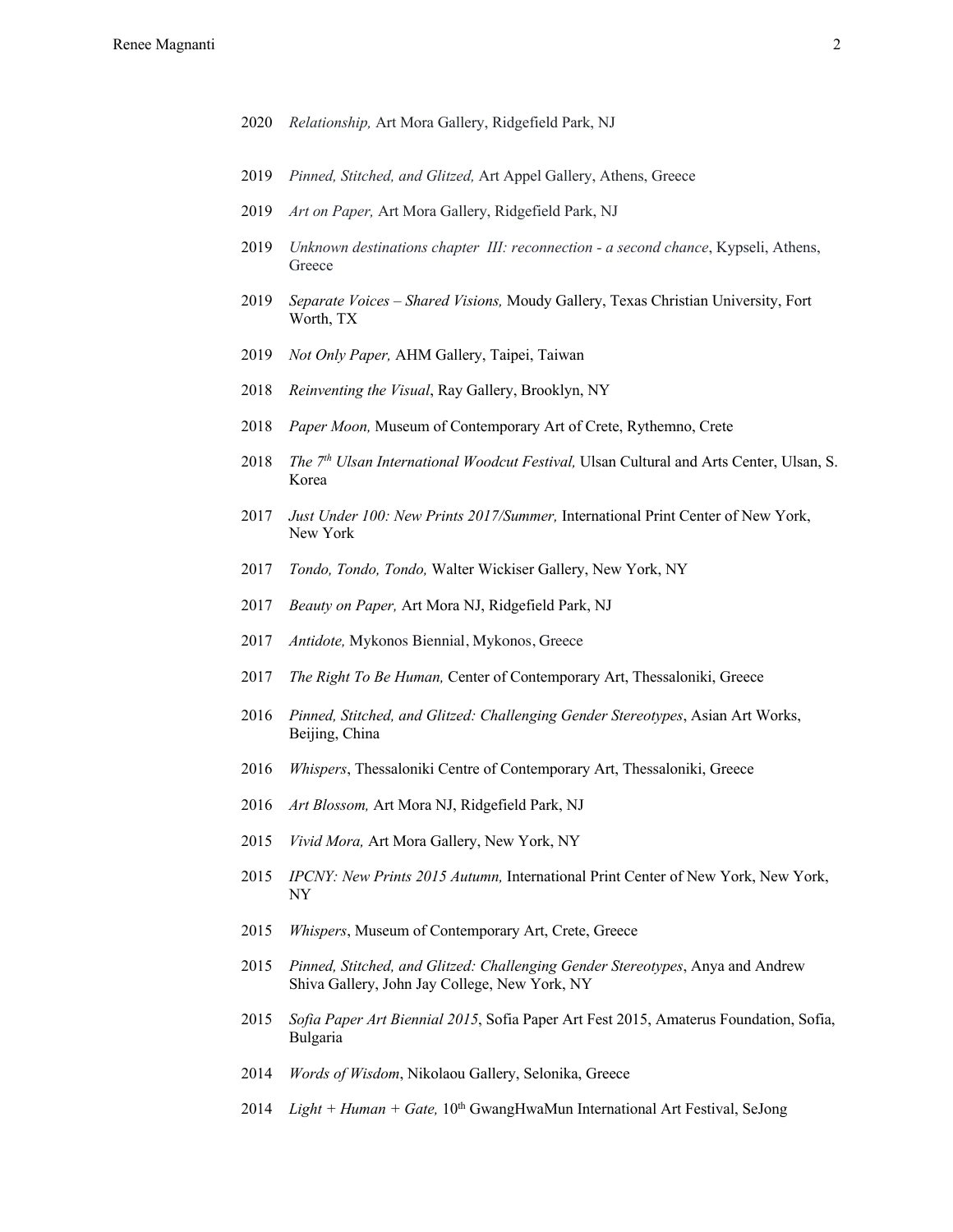- *Relationship,* Art Mora Gallery, Ridgefield Park, NJ
- *Pinned, Stitched, and Glitzed,* Art Appel Gallery, Athens, Greece
- *Art on Paper,* Art Mora Gallery, Ridgefield Park, NJ
- *Unknown destinations chapter III: reconnection - a second chance*, Kypseli, Athens, Greece
- *Separate Voices – Shared Visions,* Moudy Gallery, Texas Christian University, Fort Worth, TX
- *Not Only Paper,* AHM Gallery, Taipei, Taiwan
- *Reinventing the Visual*, Ray Gallery, Brooklyn, NY
- *Paper Moon,* Museum of Contemporary Art of Crete, Rythemno, Crete
- *The 7th Ulsan International Woodcut Festival,* Ulsan Cultural and Arts Center, Ulsan, S. Korea
- *Just Under 100: New Prints 2017/Summer,* International Print Center of New York, New York
- *Tondo, Tondo, Tondo,* Walter Wickiser Gallery, New York, NY
- *Beauty on Paper,* Art Mora NJ, Ridgefield Park, NJ
- *Antidote,* Mykonos Biennial, Mykonos, Greece
- *The Right To Be Human,* Center of Contemporary Art, Thessaloniki, Greece
- *Pinned, Stitched, and Glitzed: Challenging Gender Stereotypes*, Asian Art Works, Beijing, China
- *Whispers*, Thessaloniki Centre of Contemporary Art, Thessaloniki, Greece
- *Art Blossom,* Art Mora NJ, Ridgefield Park, NJ
- *Vivid Mora,* Art Mora Gallery, New York, NY
- *IPCNY: New Prints 2015 Autumn,* International Print Center of New York, New York, NY
- *Whispers*, Museum of Contemporary Art, Crete, Greece
- *Pinned, Stitched, and Glitzed: Challenging Gender Stereotypes*, Anya and Andrew Shiva Gallery, John Jay College, New York, NY
- *Sofia Paper Art Biennial 2015*, Sofia Paper Art Fest 2015, Amaterus Foundation, Sofia, Bulgaria
- *Words of Wisdom*, Nikolaou Gallery, Selonika, Greece
- *Light + Human + Gate,* 10th GwangHwaMun International Art Festival, SeJong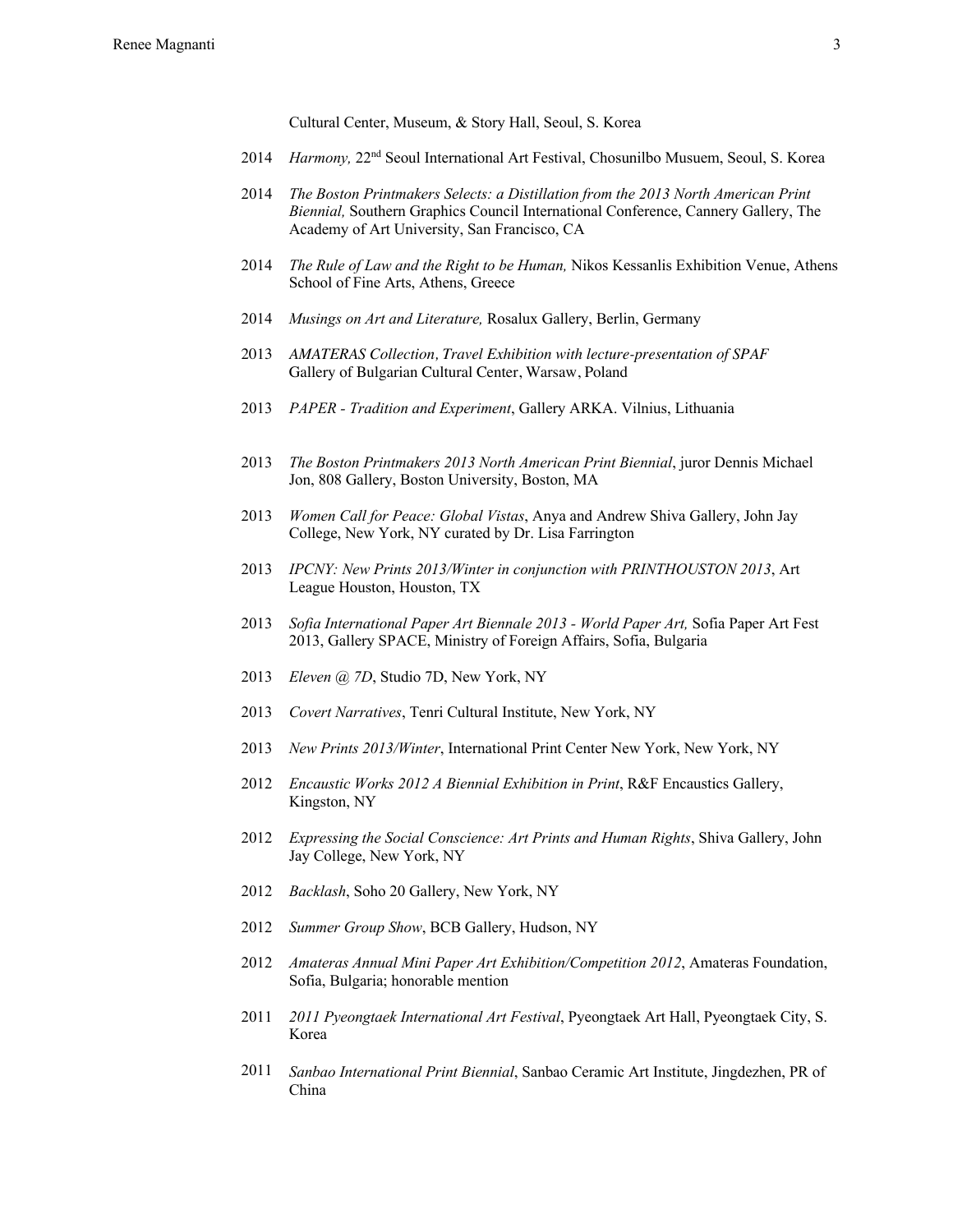Cultural Center, Museum, & Story Hall, Seoul, S. Korea

- 2014 *Harmony,* 22nd Seoul International Art Festival, Chosunilbo Musuem, Seoul, S. Korea
- 2014 *The Boston Printmakers Selects: a Distillation from the 2013 North American Print Biennial,* Southern Graphics Council International Conference, Cannery Gallery, The Academy of Art University, San Francisco, CA
- 2014 *The Rule of Law and the Right to be Human,* Nikos Kessanlis Exhibition Venue, Athens School of Fine Arts, Athens, Greece
- 2014 *Musings on Art and Literature,* Rosalux Gallery, Berlin, Germany
- 2013 *AMATERAS Collection, Travel Exhibition with lecture-presentation of SPAF* Gallery of Bulgarian Cultural Center, Warsaw, Poland
- 2013 *PAPER - Tradition and Experiment*, Gallery ARKA. Vilnius, Lithuania
- 2013 *The Boston Printmakers 2013 North American Print Biennial*, juror Dennis Michael Jon, 808 Gallery, Boston University, Boston, MA
- 2013 *Women Call for Peace: Global Vistas*, Anya and Andrew Shiva Gallery, John Jay College, New York, NY curated by Dr. Lisa Farrington
- 2013 *IPCNY: New Prints 2013/Winter in conjunction with PRINTHOUSTON 2013*, Art League Houston, Houston, TX
- 2013 *Sofia International Paper Art Biennale 2013 - World Paper Art,* Sofia Paper Art Fest 2013, Gallery SPACE, Ministry of Foreign Affairs, Sofia, Bulgaria
- 2013 *Eleven @ 7D*, Studio 7D, New York, NY
- 2013 *Covert Narratives*, Tenri Cultural Institute, New York, NY
- 2013 *New Prints 2013/Winter*, International Print Center New York, New York, NY
- 2012 *Encaustic Works 2012 A Biennial Exhibition in Print*, R&F Encaustics Gallery, Kingston, NY
- 2012 *Expressing the Social Conscience: Art Prints and Human Rights*, Shiva Gallery, John Jay College, New York, NY
- 2012 *Backlash*, Soho 20 Gallery, New York, NY
- 2012 *Summer Group Show*, BCB Gallery, Hudson, NY
- 2012 *Amateras Annual Mini Paper Art Exhibition/Competition 2012*, Amateras Foundation, Sofia, Bulgaria; honorable mention
- 2011 *2011 Pyeongtaek International Art Festival*, Pyeongtaek Art Hall, Pyeongtaek City, S. Korea
- 2011 *Sanbao International Print Biennial*, Sanbao Ceramic Art Institute, Jingdezhen, PR of China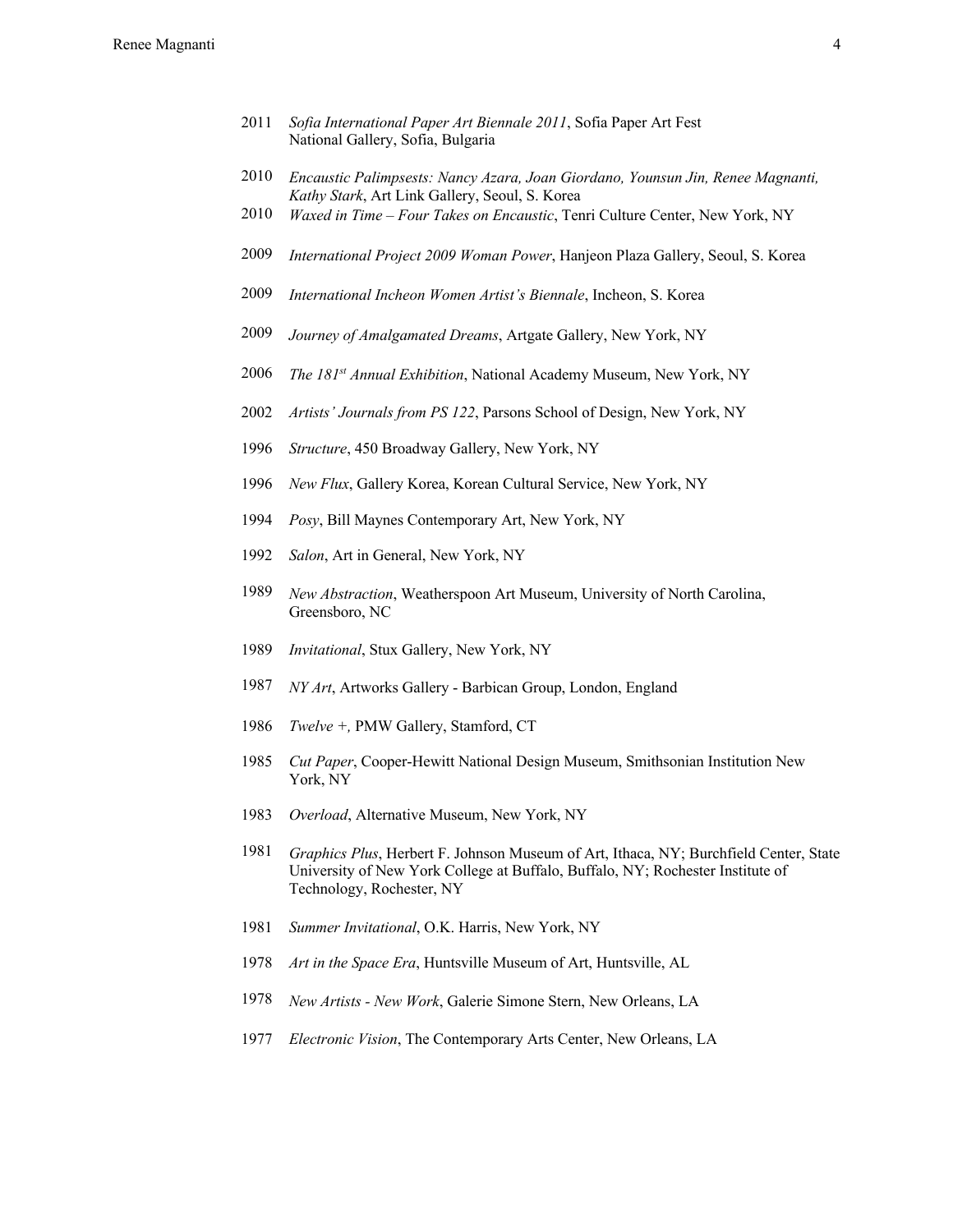- *Sofia International Paper Art Biennale 2011*, Sofia Paper Art Fest National Gallery, Sofia, Bulgaria
- *Encaustic Palimpsests: Nancy Azara, Joan Giordano, Younsun Jin, Renee Magnanti, Kathy Stark*, Art Link Gallery, Seoul, S. Korea
- *Waxed in Time – Four Takes on Encaustic*, Tenri Culture Center, New York, NY
- *International Project 2009 Woman Power*, Hanjeon Plaza Gallery, Seoul, S. Korea
- *International Incheon Women Artist's Biennale*, Incheon, S. Korea
- *Journey of Amalgamated Dreams*, Artgate Gallery, New York, NY
- *The 181st Annual Exhibition*, National Academy Museum, New York, NY
- *Artists' Journals from PS 122*, Parsons School of Design, New York, NY
- *Structure*, 450 Broadway Gallery, New York, NY
- *New Flux*, Gallery Korea, Korean Cultural Service, New York, NY
- *Posy*, Bill Maynes Contemporary Art, New York, NY
- *Salon*, Art in General, New York, NY
- *New Abstraction*, Weatherspoon Art Museum, University of North Carolina, Greensboro, NC
- *Invitational*, Stux Gallery, New York, NY
- *NY Art*, Artworks Gallery Barbican Group, London, England
- *Twelve +,* PMW Gallery, Stamford, CT
- *Cut Paper*, Cooper-Hewitt National Design Museum, Smithsonian Institution New York, NY
- *Overload*, Alternative Museum, New York, NY
- *Graphics Plus*, Herbert F. Johnson Museum of Art, Ithaca, NY; Burchfield Center, State University of New York College at Buffalo, Buffalo, NY; Rochester Institute of Technology, Rochester, NY
- *Summer Invitational*, O.K. Harris, New York, NY
- *Art in the Space Era*, Huntsville Museum of Art, Huntsville, AL
- *New Artists - New Work*, Galerie Simone Stern, New Orleans, LA
- *Electronic Vision*, The Contemporary Arts Center, New Orleans, LA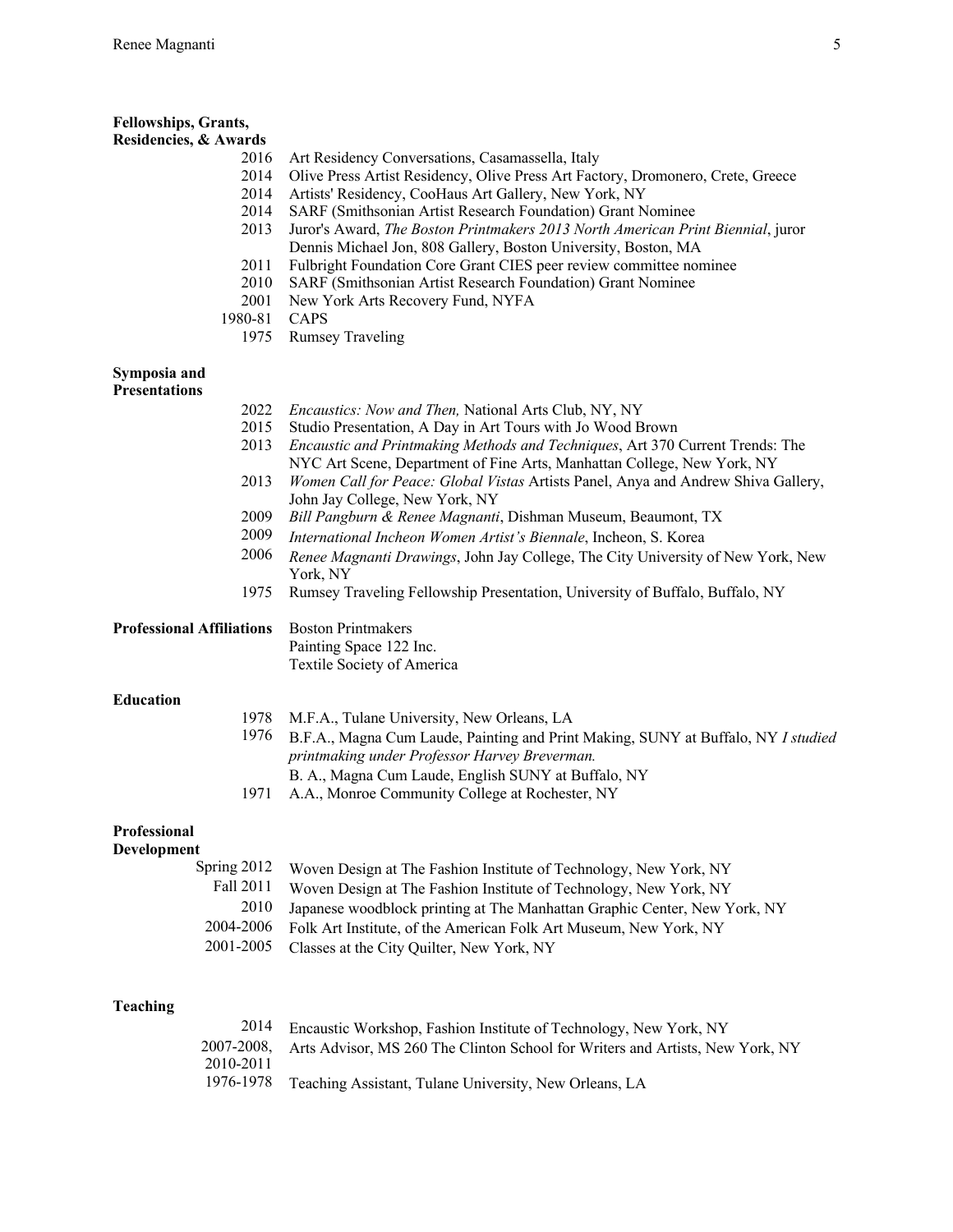| Fellowships, Grants,                 |                                                                                                                                                          |
|--------------------------------------|----------------------------------------------------------------------------------------------------------------------------------------------------------|
| Residencies, & Awards<br>2016        | Art Residency Conversations, Casamassella, Italy                                                                                                         |
| 2014                                 | Olive Press Artist Residency, Olive Press Art Factory, Dromonero, Crete, Greece                                                                          |
| 2014                                 | Artists' Residency, CooHaus Art Gallery, New York, NY                                                                                                    |
| 2014                                 | SARF (Smithsonian Artist Research Foundation) Grant Nominee                                                                                              |
| 2013                                 | Juror's Award, The Boston Printmakers 2013 North American Print Biennial, juror                                                                          |
| 2011                                 | Dennis Michael Jon, 808 Gallery, Boston University, Boston, MA<br>Fulbright Foundation Core Grant CIES peer review committee nominee                     |
| 2010                                 | SARF (Smithsonian Artist Research Foundation) Grant Nominee                                                                                              |
| 2001                                 | New York Arts Recovery Fund, NYFA                                                                                                                        |
| 1980-81                              | CAPS                                                                                                                                                     |
| 1975                                 | <b>Rumsey Traveling</b>                                                                                                                                  |
| Symposia and<br><b>Presentations</b> |                                                                                                                                                          |
| 2022                                 | <i>Encaustics: Now and Then, National Arts Club, NY, NY</i>                                                                                              |
| 2015                                 | Studio Presentation, A Day in Art Tours with Jo Wood Brown                                                                                               |
| 2013                                 | Encaustic and Printmaking Methods and Techniques, Art 370 Current Trends: The<br>NYC Art Scene, Department of Fine Arts, Manhattan College, New York, NY |
| 2013                                 | Women Call for Peace: Global Vistas Artists Panel, Anya and Andrew Shiva Gallery,                                                                        |
|                                      | John Jay College, New York, NY                                                                                                                           |
| 2009                                 | Bill Pangburn & Renee Magnanti, Dishman Museum, Beaumont, TX                                                                                             |
| 2009                                 | International Incheon Women Artist's Biennale, Incheon, S. Korea                                                                                         |
| 2006                                 | Renee Magnanti Drawings, John Jay College, The City University of New York, New<br>York, NY                                                              |
| 1975                                 | Rumsey Traveling Fellowship Presentation, University of Buffalo, Buffalo, NY                                                                             |
|                                      |                                                                                                                                                          |
| <b>Professional Affiliations</b>     | <b>Boston Printmakers</b>                                                                                                                                |
|                                      | Painting Space 122 Inc.                                                                                                                                  |
|                                      | Textile Society of America                                                                                                                               |
| <b>Education</b>                     |                                                                                                                                                          |
| 1978                                 | M.F.A., Tulane University, New Orleans, LA                                                                                                               |
| 1976                                 | B.F.A., Magna Cum Laude, Painting and Print Making, SUNY at Buffalo, NY I studied                                                                        |
|                                      | printmaking under Professor Harvey Breverman.                                                                                                            |
|                                      | B. A., Magna Cum Laude, English SUNY at Buffalo, NY                                                                                                      |
| 1971                                 | A.A., Monroe Community College at Rochester, NY                                                                                                          |
| Professional<br>Development          |                                                                                                                                                          |
| Spring 2012                          | Woven Design at The Fashion Institute of Technology, New York, NY                                                                                        |
| Fall 2011                            | Woven Design at The Fashion Institute of Technology, New York, NY                                                                                        |
| 2010                                 | Japanese woodblock printing at The Manhattan Graphic Center, New York, NY                                                                                |
| 2004-2006                            | Folk Art Institute, of the American Folk Art Museum, New York, NY                                                                                        |
| 2001-2005                            | Classes at the City Quilter, New York, NY                                                                                                                |
|                                      |                                                                                                                                                          |
| <b>Teaching</b>                      |                                                                                                                                                          |
| 2014                                 | Encaustic Workshop, Fashion Institute of Technology, New York, NY                                                                                        |
| 2007-2008,                           | Arts Advisor, MS 260 The Clinton School for Writers and Artists, New York, NY                                                                            |
| 2010-2011<br>1976-1978               | Teaching Assistant, Tulane University, New Orleans, LA                                                                                                   |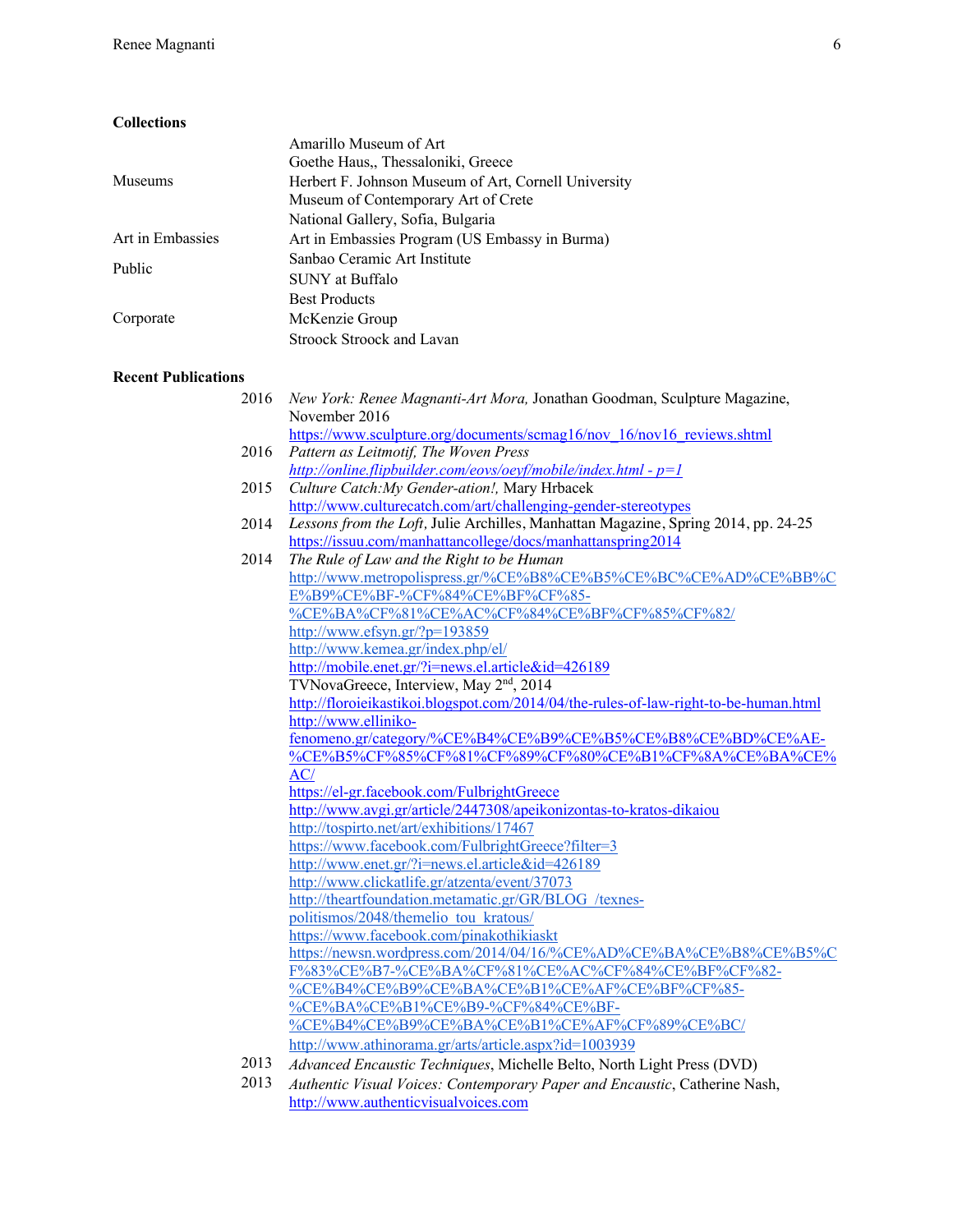# **Collections**

|                  | Amarillo Museum of Art                                                                      |
|------------------|---------------------------------------------------------------------------------------------|
|                  | Goethe Haus,, Thessaloniki, Greece                                                          |
| <b>Museums</b>   | Herbert F. Johnson Museum of Art, Cornell University<br>Museum of Contemporary Art of Crete |
|                  | National Gallery, Sofia, Bulgaria                                                           |
| Art in Embassies | Art in Embassies Program (US Embassy in Burma)                                              |
| Public           | Sanbao Ceramic Art Institute                                                                |
|                  | SUNY at Buffalo                                                                             |
|                  | <b>Best Products</b>                                                                        |
| Corporate        | McKenzie Group                                                                              |
|                  | Stroock Stroock and Lavan                                                                   |

## **Recent Publications**

| 2016 | New York: Renee Magnanti-Art Mora, Jonathan Goodman, Sculpture Magazine,                |
|------|-----------------------------------------------------------------------------------------|
|      | November 2016<br>https://www.sculpture.org/documents/scmag16/nov 16/nov16 reviews.shtml |
| 2016 | Pattern as Leitmotif, The Woven Press                                                   |
|      | http://online.flipbuilder.com/eovs/oeyf/mobile/index.html - $p=1$                       |
| 2015 | Culture Catch: My Gender-ation!, Mary Hrbacek                                           |
|      | http://www.culturecatch.com/art/challenging-gender-stereotypes                          |
| 2014 | Lessons from the Loft, Julie Archilles, Manhattan Magazine, Spring 2014, pp. 24-25      |
|      | https://issuu.com/manhattancollege/docs/manhattanspring2014                             |
| 2014 | The Rule of Law and the Right to be Human                                               |
|      | http://www.metropolispress.gr/%CE%B8%CE%B5%CE%BC%CE%AD%CE%BB%C                          |
|      | E%B9%CE%BF-%CF%84%CE%BF%CF%85-                                                          |
|      | %CE%BA%CF%81%CE%AC%CF%84%CE%BF%CF%85%CF%82/                                             |
|      | http://www.efsyn.gr/?p=193859                                                           |
|      | http://www.kemea.gr/index.php/el/                                                       |
|      | http://mobile.enet.gr/?i=news.el.article&id=426189                                      |
|      | TVNovaGreece, Interview, May 2 <sup>nd</sup> , 2014                                     |
|      | http://floroieikastikoi.blogspot.com/2014/04/the-rules-of-law-right-to-be-human.html    |
|      | http://www.elliniko-                                                                    |
|      | fenomeno.gr/category/%CE%B4%CE%B9%CE%B5%CE%B8%CE%BD%CE%AE-                              |
|      | %CE%B5%CF%85%CF%81%CF%89%CF%80%CE%B1%CF%8A%CE%BA%CE%                                    |
|      | AC/                                                                                     |
|      | https://el-gr.facebook.com/FulbrightGreece                                              |
|      | http://www.avgi.gr/article/2447308/apeikonizontas-to-kratos-dikaiou                     |
|      | http://tospirto.net/art/exhibitions/17467                                               |
|      | https://www.facebook.com/FulbrightGreece?filter=3                                       |
|      | http://www.enet.gr/?i=news.el.article&id=426189                                         |
|      | http://www.clickatlife.gr/atzenta/event/37073                                           |
|      | http://theartfoundation.metamatic.gr/GR/BLOG /texnes-                                   |
|      | politismos/2048/themelio tou kratous/                                                   |
|      | https://www.facebook.com/pinakothikiaskt                                                |
|      | https://newsn.wordpress.com/2014/04/16/%CE%AD%CE%BA%CE%B8%CE%B5%C                       |
|      | F%83%CE%B7-%CE%BA%CF%81%CE%AC%CF%84%CE%BF%CF%82-                                        |
|      | %CE%B4%CE%B9%CE%BA%CE%B1%CE%AF%CE%BF%CF%85-                                             |
|      | %CE%BA%CE%B1%CE%B9-%CF%84%CE%BF-                                                        |
|      | %CE%B4%CE%B9%CE%BA%CE%B1%CE%AF%CF%89%CE%BC/                                             |
|      | http://www.athinorama.gr/arts/article.aspx?id=1003939                                   |
| 2013 | Advanced Encaustic Techniques, Michelle Belto, North Light Press (DVD)                  |
| 2013 | Authentic Visual Voices: Contemporary Paper and Encaustic, Catherine Nash,              |

http://www.authenticvisualvoices.com